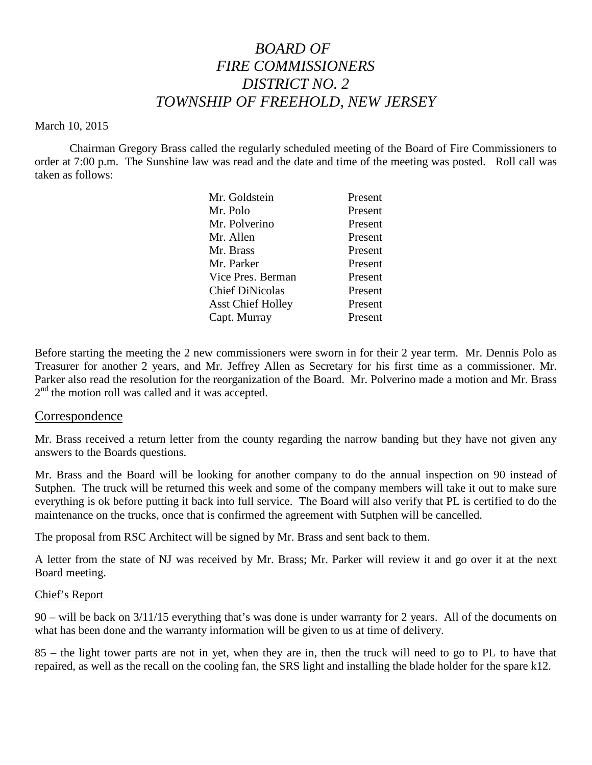# *BOARD OF FIRE COMMISSIONERS DISTRICT NO. 2 TOWNSHIP OF FREEHOLD, NEW JERSEY*

#### March 10, 2015

Chairman Gregory Brass called the regularly scheduled meeting of the Board of Fire Commissioners to order at 7:00 p.m. The Sunshine law was read and the date and time of the meeting was posted. Roll call was taken as follows:

| Mr. Goldstein            | Present |
|--------------------------|---------|
| Mr. Polo                 | Present |
| Mr. Polverino            | Present |
| Mr. Allen                | Present |
| Mr. Brass                | Present |
| Mr. Parker               | Present |
| Vice Pres. Berman        | Present |
| <b>Chief DiNicolas</b>   | Present |
| <b>Asst Chief Holley</b> | Present |
| Capt. Murray             | Present |
|                          |         |

Before starting the meeting the 2 new commissioners were sworn in for their 2 year term. Mr. Dennis Polo as Treasurer for another 2 years, and Mr. Jeffrey Allen as Secretary for his first time as a commissioner. Mr. Parker also read the resolution for the reorganization of the Board. Mr. Polverino made a motion and Mr. Brass 2<sup>nd</sup> the motion roll was called and it was accepted.

#### Correspondence

Mr. Brass received a return letter from the county regarding the narrow banding but they have not given any answers to the Boards questions.

Mr. Brass and the Board will be looking for another company to do the annual inspection on 90 instead of Sutphen. The truck will be returned this week and some of the company members will take it out to make sure everything is ok before putting it back into full service. The Board will also verify that PL is certified to do the maintenance on the trucks, once that is confirmed the agreement with Sutphen will be cancelled.

The proposal from RSC Architect will be signed by Mr. Brass and sent back to them.

A letter from the state of NJ was received by Mr. Brass; Mr. Parker will review it and go over it at the next Board meeting.

#### Chief's Report

90 – will be back on 3/11/15 everything that's was done is under warranty for 2 years. All of the documents on what has been done and the warranty information will be given to us at time of delivery.

85 – the light tower parts are not in yet,when they are in, then the truck will need to go to PL to have that repaired, as well as the recall on the cooling fan, the SRS light and installing the blade holder for the spare k12.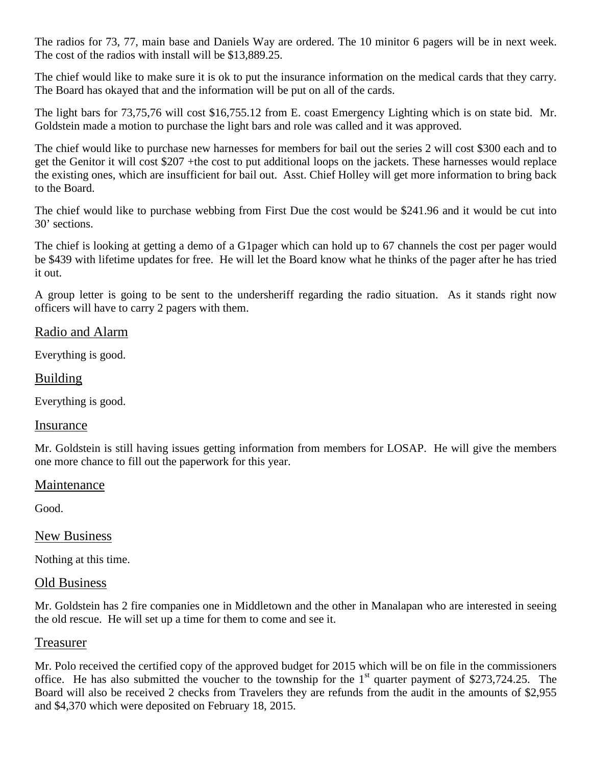The radios for 73, 77, main base and Daniels Way are ordered. The 10 minitor 6 pagers will be in next week. The cost of the radios with install will be \$13,889.25.

The chief would like to make sure it is ok to put the insurance information on the medical cards that they carry. The Board has okayed that and the information will be put on all of the cards.

The light bars for 73,75,76 will cost \$16,755.12 from E. coast Emergency Lighting which is on state bid. Mr. Goldstein made a motion to purchase the light bars and role was called and it was approved.

The chief would like to purchase new harnesses for members for bail out the series 2 will cost \$300 each and to get the Genitor it will cost \$207 +the cost to put additional loops on the jackets. These harnesses would replace the existing ones, which are insufficient for bail out. Asst. Chief Holley will get more information to bring back to the Board.

The chief would like to purchase webbing from First Due the cost would be \$241.96 and it would be cut into 30' sections.

The chief is looking at getting a demo of a G1pager which can hold up to 67 channels the cost per pager would be \$439 with lifetime updates for free. He will let the Board know what he thinks of the pager after he has tried it out.

A group letter is going to be sent to the undersheriff regarding the radio situation. As it stands right now officers will have to carry 2 pagers with them.

## Radio and Alarm

Everything is good.

### Building

Everything is good.

#### Insurance

Mr. Goldstein is still having issues getting information from members for LOSAP. He will give the members one more chance to fill out the paperwork for this year.

#### Maintenance

Good.

#### New Business

Nothing at this time.

#### Old Business

Mr. Goldstein has 2 fire companies one in Middletown and the other in Manalapan who are interested in seeing the old rescue. He will set up a time for them to come and see it.

#### Treasurer

Mr. Polo received the certified copy of the approved budget for 2015 which will be on file in the commissioners office. He has also submitted the voucher to the township for the  $1<sup>st</sup>$  quarter payment of \$273,724.25. The Board will also be received 2 checks from Travelers they are refunds from the audit in the amounts of \$2,955 and \$4,370 which were deposited on February 18, 2015.